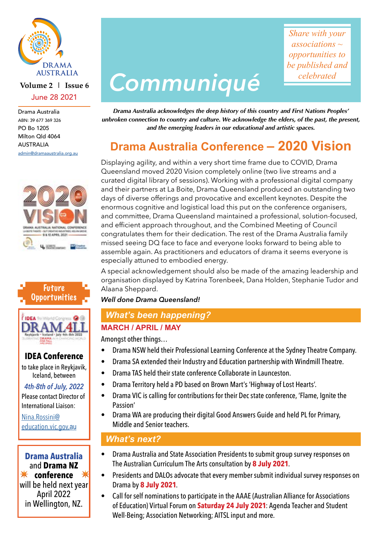

## **Volume 2 | Issue 6** June 28 2021

Drama Australia ABN: 39 677 369 326 PO Bo 1205 Milton Qld 4064 AUSTRALIA [admin@dramaaustralia.org.au](mailto:admin%40dramaaustralia.org.au?subject=)







# **IDEA Conference**

to take place in Reykjavik, Iceland, between

*4th-8th of July, 2022* Please contact Director of International Liaison:

[Nina.Rossini@](mailto:Nina.Rossini%40education.vic.gov.au?subject=) [education.vic.gov.](mailto:Nina.Rossini%40education.vic.gov.au?subject=)au

✴ ✴ **conference Drama Australia** and **Drama NZ** will be held next year April 2022 in Wellington, NZ.

# *Communiqué*

*Share with your associations ~ opportunities to be published and celebrated*

*Drama Australia acknowledges the deep history of this country and First Nations Peoples' unbroken connection to country and culture. We acknowledge the elders, of the past, the present, and the emerging leaders in our educational and artistic spaces.*

# **Drama Australia Conference – 2020 Vision**

Displaying agility, and within a very short time frame due to COVID, Drama Queensland moved 2020 Vision completely online (two live streams and a curated digital library of sessions). Working with a professional digital company and their partners at La Boite, Drama Queensland produced an outstanding two days of diverse offerings and provocative and excellent keynotes. Despite the enormous cognitive and logistical load this put on the conference organisers, and committee, Drama Queensland maintained a professional, solution-focused, and efficient approach throughout, and the Combined Meeting of Council congratulates them for their dedication. The rest of the Drama Australia family missed seeing DQ face to face and everyone looks forward to being able to assemble again. As practitioners and educators of drama it seems everyone is especially attuned to embodied energy.

A special acknowledgement should also be made of the amazing leadership and organisation displayed by Katrina Torenbeek, Dana Holden, Stephanie Tudor and Alaana Sheppard.

*Well done Drama Queensland!*

# *What's been happening?*

# **MARCH / APRIL / MAY**

Amongst other things…

- Drama NSW held their Professional Learning Conference at the Sydney Theatre Company.
- Drama SA extended their Industry and Education partnership with Windmill Theatre.
- Drama TAS held their state conference Collaborate in Launceston.
- Drama Territory held a PD based on Brown Mart's 'Highway of Lost Hearts'.
- Drama VIC is calling for contributions for their Dec state conference, 'Flame, Ignite the Passion'
- Drama WA are producing their digital Good Answers Guide and held PL for Primary, Middle and Senior teachers.

## *What's next?*

- Drama Australia and State Association Presidents to submit group survey responses on The Australian Curriculum The Arts consultation by **8 July 2021**.
- Presidents and DALOs advocate that every member submit individual survey responses on Drama by **8 July 2021**.
- Call for self nominations to participate in the AAAE (Australian Alliance for Associations of Education) Virtual Forum on **Saturday 24 July 2021**: Agenda Teacher and Student Well-Being; Association Networking; AITSL input and more.